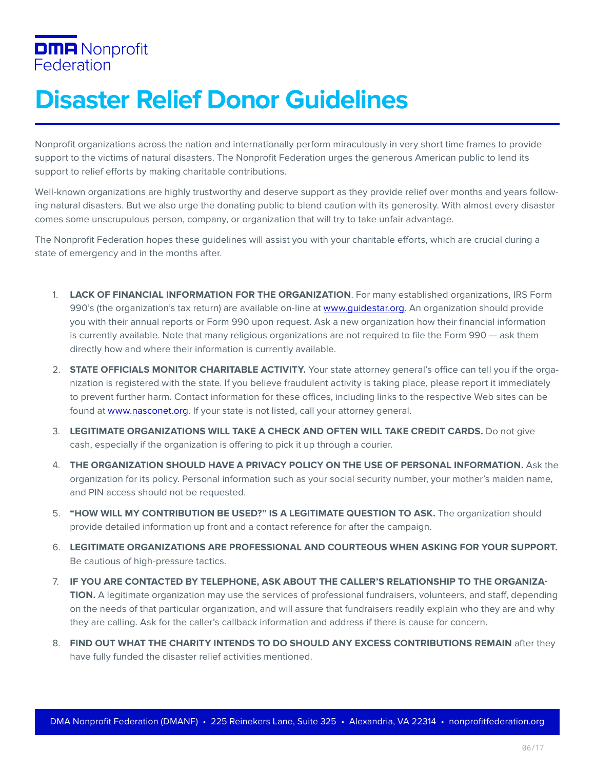## **DMA** Nonprofit Federation

## **Disaster Relief Donor Guidelines**

Nonprofit organizations across the nation and internationally perform miraculously in very short time frames to provide support to the victims of natural disasters. The Nonprofit Federation urges the generous American public to lend its support to relief efforts by making charitable contributions.

Well-known organizations are highly trustworthy and deserve support as they provide relief over months and years following natural disasters. But we also urge the donating public to blend caution with its generosity. With almost every disaster comes some unscrupulous person, company, or organization that will try to take unfair advantage.

The Nonprofit Federation hopes these guidelines will assist you with your charitable efforts, which are crucial during a state of emergency and in the months after.

- 1. **LACK OF FINANCIAL INFORMATION FOR THE ORGANIZATION**. For many established organizations, IRS Form 990's (the organization's tax return) are available on-line at [www.guidestar.org. An](http://www.guidestar.org) organization should provide you with their annual reports or Form 990 upon request. Ask a new organization how their financial information is currently available. Note that many religious organizations are not required to file the Form 990 — ask them directly how and where their information is currently available.
- 2. **STATE OFFICIALS MONITOR CHARITABLE ACTIVITY.** Your state attorney general's office can tell you if the organization is registered with the state. If you believe fraudulent activity is taking place, please report it immediately to prevent further harm. Contact information for these offices, including links to the respective Web sites can be found at [www.nasconet.org. If](http://www.nasconet.org) your state is not listed, call your attorney general.
- 3. **LEGITIMATE ORGANIZATIONS WILL TAKE A CHECK AND OFTEN WILL TAKE CREDIT CARDS.** Do not give cash, especially if the organization is offering to pick it up through a courier.
- 4. **THE ORGANIZATION SHOULD HAVE A PRIVACY POLICY ON THE USE OF PERSONAL INFORMATION.** Ask the organization for its policy. Personal information such as your social security number, your mother's maiden name, and PIN access should not be requested.
- 5. **"HOW WILL MY CONTRIBUTION BE USED?" IS A LEGITIMATE QUESTION TO ASK.** The organization should provide detailed information up front and a contact reference for after the campaign.
- 6. **LEGITIMATE ORGANIZATIONS ARE PROFESSIONAL AND COURTEOUS WHEN ASKING FOR YOUR SUPPORT.**  Be cautious of high-pressure tactics.
- 7. **IF YOU ARE CONTACTED BY TELEPHONE, ASK ABOUT THE CALLER'S RELATIONSHIP TO THE ORGANIZA-TION.** A legitimate organization may use the services of professional fundraisers, volunteers, and staff, depending on the needs of that particular organization, and will assure that fundraisers readily explain who they are and why they are calling. Ask for the caller's callback information and address if there is cause for concern.
- 8. **FIND OUT WHAT THE CHARITY INTENDS TO DO SHOULD ANY EXCESS CONTRIBUTIONS REMAIN** after they have fully funded the disaster relief activities mentioned.